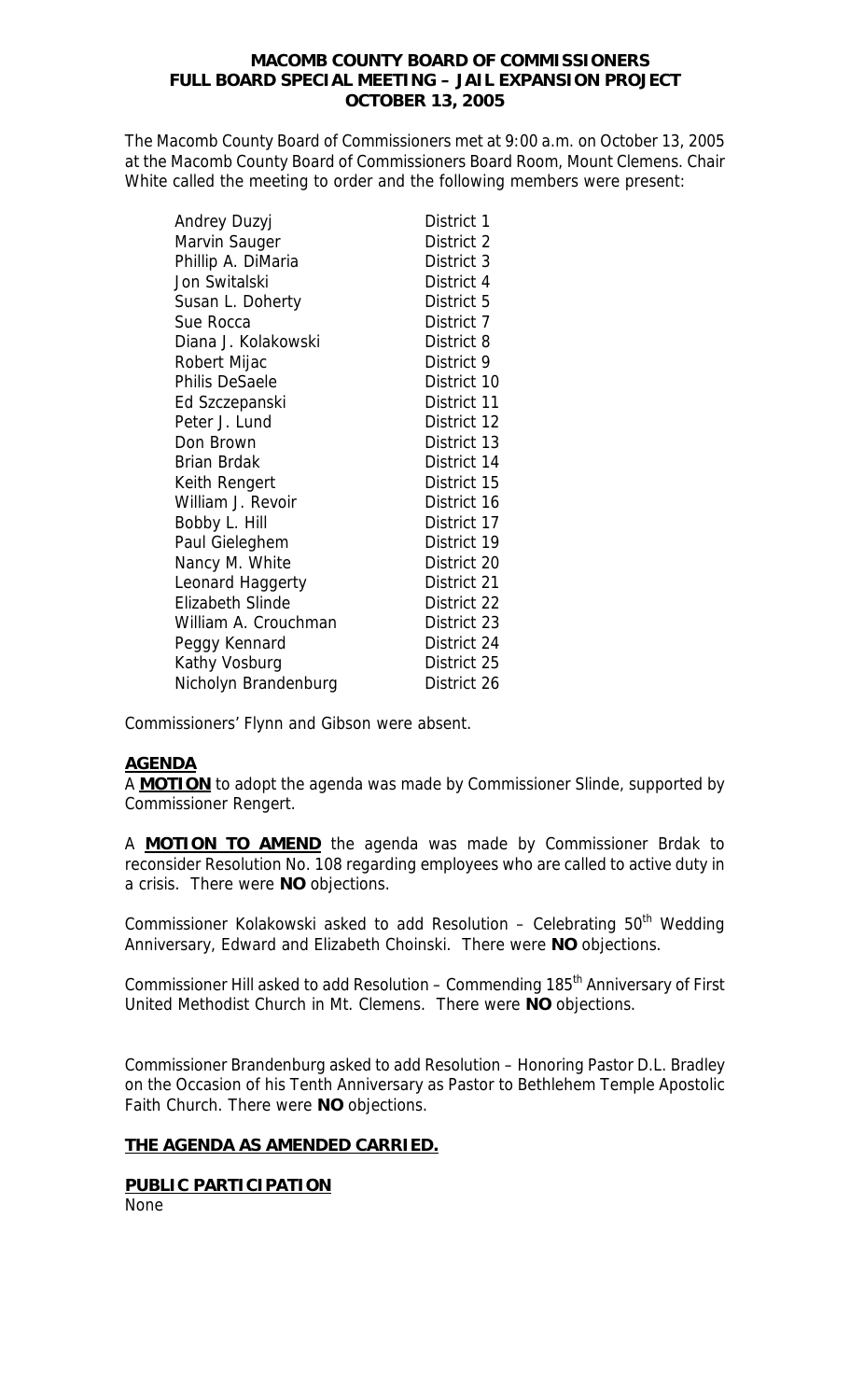## **MACOMB COUNTY BOARD OF COMMISSIONERS FULL BOARD SPECIAL MEETING – JAIL EXPANSION PROJECT OCTOBER 13, 2005**

The Macomb County Board of Commissioners met at 9:00 a.m. on October 13, 2005 at the Macomb County Board of Commissioners Board Room, Mount Clemens. Chair White called the meeting to order and the following members were present:

| Andrey Duzyj            | District 1  |
|-------------------------|-------------|
| Marvin Sauger           | District 2  |
| Phillip A. DiMaria      | District 3  |
| Jon Switalski           | District 4  |
| Susan L. Doherty        | District 5  |
| Sue Rocca               | District 7  |
| Diana J. Kolakowski     | District 8  |
| Robert Mijac            | District 9  |
| <b>Philis DeSaele</b>   | District 10 |
| Ed Szczepanski          | District 11 |
| Peter J. Lund           | District 12 |
| Don Brown               | District 13 |
| <b>Brian Brdak</b>      | District 14 |
| Keith Rengert           | District 15 |
| William J. Revoir       | District 16 |
| Bobby L. Hill           | District 17 |
| Paul Gieleghem          | District 19 |
| Nancy M. White          | District 20 |
| Leonard Haggerty        | District 21 |
| <b>Elizabeth Slinde</b> | District 22 |
| William A. Crouchman    | District 23 |
| Peggy Kennard           | District 24 |
| Kathy Vosburg           | District 25 |
| Nicholyn Brandenburg    | District 26 |

Commissioners' Flynn and Gibson were absent.

# **AGENDA**

A **MOTION** to adopt the agenda was made by Commissioner Slinde, supported by Commissioner Rengert.

A **MOTION TO AMEND** the agenda was made by Commissioner Brdak to reconsider Resolution No. 108 regarding employees who are called to active duty in a crisis. There were **NO** objections.

Commissioner Kolakowski asked to add Resolution  $-$  Celebrating 50<sup>th</sup> Wedding Anniversary, Edward and Elizabeth Choinski. There were **NO** objections.

Commissioner Hill asked to add Resolution – Commending 185<sup>th</sup> Anniversary of First United Methodist Church in Mt. Clemens. There were **NO** objections.

Commissioner Brandenburg asked to add Resolution – Honoring Pastor D.L. Bradley on the Occasion of his Tenth Anniversary as Pastor to Bethlehem Temple Apostolic Faith Church. There were **NO** objections.

# **THE AGENDA AS AMENDED CARRIED.**

**PUBLIC PARTICIPATION** None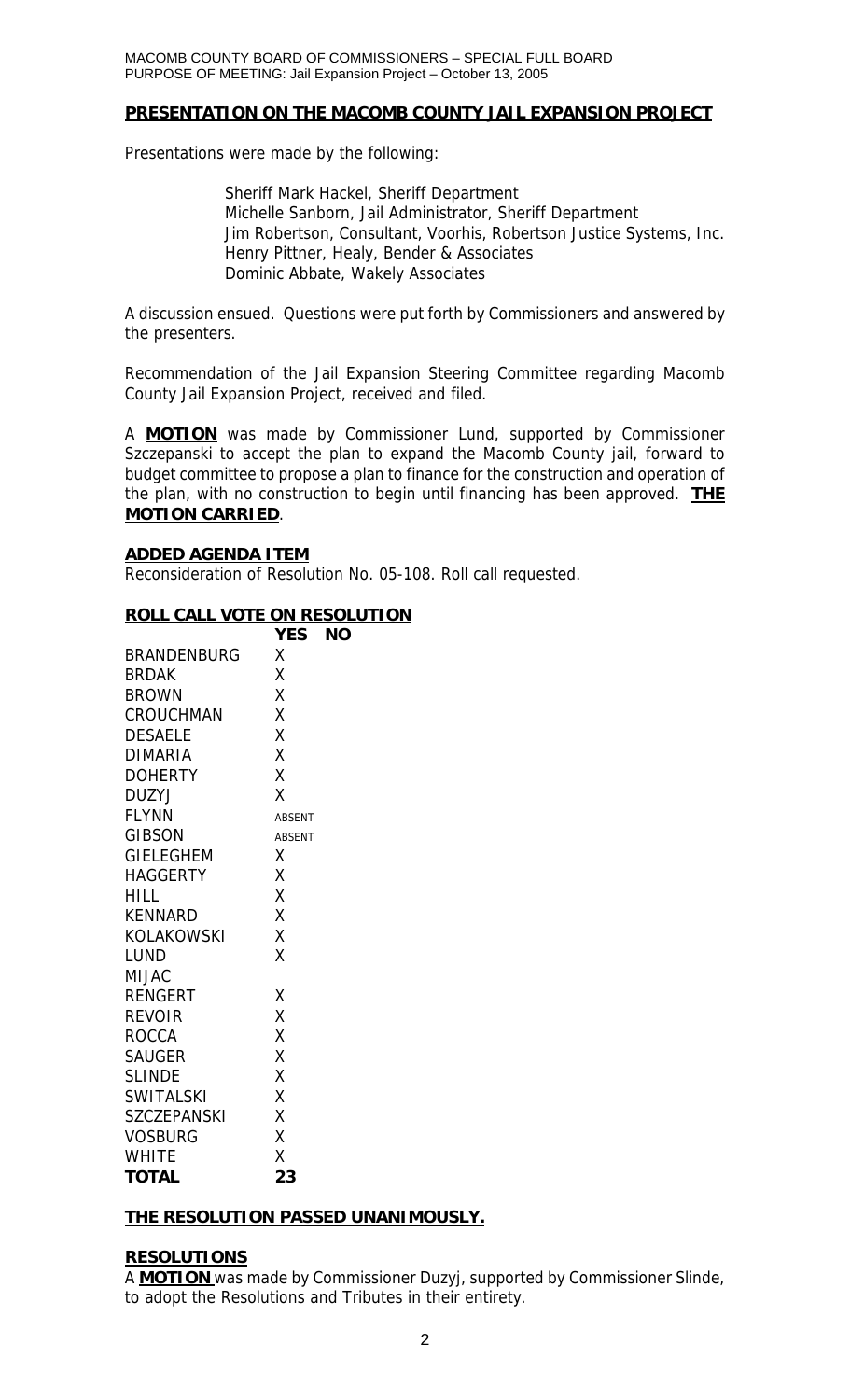#### **PRESENTATION ON THE MACOMB COUNTY JAIL EXPANSION PROJECT**

Presentations were made by the following:

 Sheriff Mark Hackel, Sheriff Department Michelle Sanborn, Jail Administrator, Sheriff Department Jim Robertson, Consultant, Voorhis, Robertson Justice Systems, Inc. Henry Pittner, Healy, Bender & Associates Dominic Abbate, Wakely Associates

A discussion ensued. Questions were put forth by Commissioners and answered by the presenters.

Recommendation of the Jail Expansion Steering Committee regarding Macomb County Jail Expansion Project, received and filed.

A **MOTION** was made by Commissioner Lund, supported by Commissioner Szczepanski to accept the plan to expand the Macomb County jail, forward to budget committee to propose a plan to finance for the construction and operation of the plan, with no construction to begin until financing has been approved. **THE MOTION CARRIED**.

#### **ADDED AGENDA ITEM**

Reconsideration of Resolution No. 05-108. Roll call requested.

## **ROLL CALL VOTE ON RESOLUTION**

|                    | YES           | ΝO |
|--------------------|---------------|----|
| <b>BRANDENBURG</b> | Χ             |    |
| <b>BRDAK</b>       | χ             |    |
| <b>BROWN</b>       | X             |    |
| <b>CROUCHMAN</b>   | X             |    |
| <b>DESAELE</b>     | X             |    |
| <b>DIMARIA</b>     | X             |    |
| <b>DOHERTY</b>     | X             |    |
| <b>DUZYJ</b>       | X             |    |
| <b>FLYNN</b>       | <b>ABSENT</b> |    |
| <b>GIBSON</b>      | <b>ABSENT</b> |    |
| <b>GIELEGHEM</b>   | Χ             |    |
| <b>HAGGERTY</b>    | X             |    |
| <b>HILL</b>        | X             |    |
| <b>KENNARD</b>     | X             |    |
| <b>KOLAKOWSKI</b>  | X             |    |
| <b>LUND</b>        | X             |    |
| <b>MIJAC</b>       |               |    |
| <b>RENGERT</b>     | Χ             |    |
| <b>REVOIR</b>      | X             |    |
| <b>ROCCA</b>       | Χ             |    |
| <b>SAUGER</b>      | X             |    |
| <b>SLINDE</b>      | X             |    |
| <b>SWITALSKI</b>   | X             |    |
| <b>SZCZEPANSKI</b> | X             |    |
| <b>VOSBURG</b>     | X             |    |
| <b>WHITE</b>       | X             |    |
| <b>TOTAL</b>       | 23            |    |

# **THE RESOLUTION PASSED UNANIMOUSLY.**

# **RESOLUTIONS**

A **MOTION** was made by Commissioner Duzyj, supported by Commissioner Slinde, to adopt the Resolutions and Tributes in their entirety.